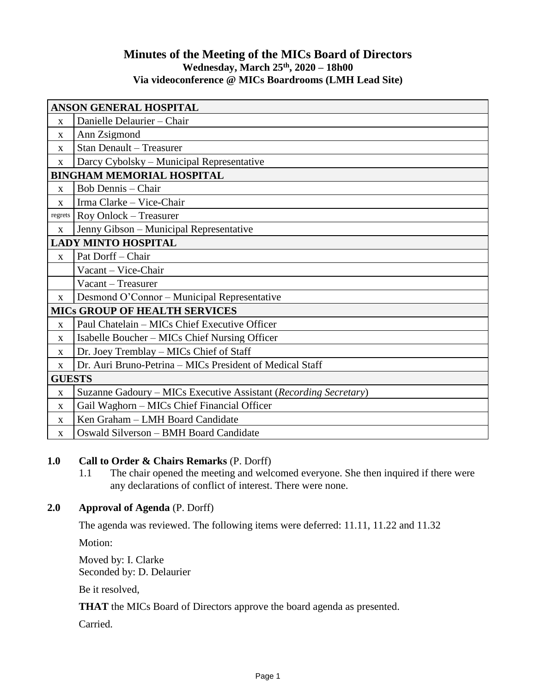## **Minutes of the Meeting of the MICs Board of Directors Wednesday, March 25th , 2020 – 18h00 Via videoconference @ MICs Boardrooms (LMH Lead Site)**

| <b>ANSON GENERAL HOSPITAL</b>        |                                                                  |  |
|--------------------------------------|------------------------------------------------------------------|--|
| $\mathbf{X}$                         | Danielle Delaurier - Chair                                       |  |
| X                                    | Ann Zsigmond                                                     |  |
| $\mathbf X$                          | Stan Denault - Treasurer                                         |  |
| $\mathbf X$                          | Darcy Cybolsky – Municipal Representative                        |  |
| <b>BINGHAM MEMORIAL HOSPITAL</b>     |                                                                  |  |
| $\mathbf{X}$                         | Bob Dennis – Chair                                               |  |
| $\mathbf{x}$                         | Irma Clarke - Vice-Chair                                         |  |
| regrets                              | Roy Onlock – Treasurer                                           |  |
| $\mathbf X$                          | Jenny Gibson - Municipal Representative                          |  |
| <b>LADY MINTO HOSPITAL</b>           |                                                                  |  |
| $\mathbf X$                          | Pat Dorff - Chair                                                |  |
|                                      | Vacant - Vice-Chair                                              |  |
|                                      | Vacant - Treasurer                                               |  |
| $\mathbf{X}$                         | Desmond O'Connor – Municipal Representative                      |  |
| <b>MICS GROUP OF HEALTH SERVICES</b> |                                                                  |  |
| $\mathbf{X}$                         | Paul Chatelain - MICs Chief Executive Officer                    |  |
| $\mathbf{X}$                         | Isabelle Boucher – MICs Chief Nursing Officer                    |  |
| $\mathbf{X}$                         | Dr. Joey Tremblay - MICs Chief of Staff                          |  |
| $\mathbf{X}$                         | Dr. Auri Bruno-Petrina - MICs President of Medical Staff         |  |
| <b>GUESTS</b>                        |                                                                  |  |
| $\mathbf X$                          | Suzanne Gadoury – MICs Executive Assistant (Recording Secretary) |  |
| X                                    | Gail Waghorn - MICs Chief Financial Officer                      |  |
| X                                    | Ken Graham - LMH Board Candidate                                 |  |
| $\mathbf{X}$                         | Oswald Silverson - BMH Board Candidate                           |  |

## **1.0 Call to Order & Chairs Remarks** (P. Dorff)

1.1 The chair opened the meeting and welcomed everyone. She then inquired if there were any declarations of conflict of interest. There were none.

# **2.0 Approval of Agenda** (P. Dorff)

The agenda was reviewed. The following items were deferred: 11.11, 11.22 and 11.32

Motion:

Moved by: I. Clarke Seconded by: D. Delaurier

Be it resolved,

**THAT** the MICs Board of Directors approve the board agenda as presented.

Carried.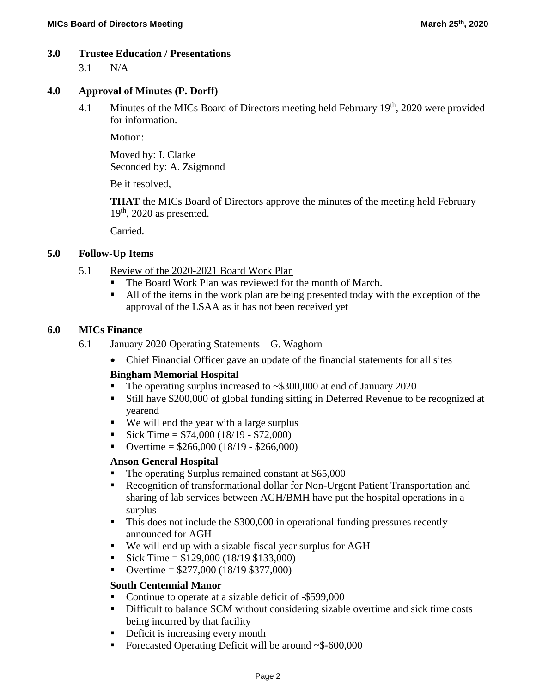### **3.0 Trustee Education / Presentations**

3.1 N/A

### **4.0 Approval of Minutes (P. Dorff)**

4.1 Minutes of the MICs Board of Directors meeting held February  $19<sup>th</sup>$ , 2020 were provided for information.

Motion:

Moved by: I. Clarke Seconded by: A. Zsigmond

Be it resolved,

**THAT** the MICs Board of Directors approve the minutes of the meeting held February 19<sup>th</sup>, 2020 as presented.

Carried.

### **5.0 Follow-Up Items**

- 5.1 Review of the 2020-2021 Board Work Plan
	- The Board Work Plan was reviewed for the month of March.
	- All of the items in the work plan are being presented today with the exception of the approval of the LSAA as it has not been received yet

### **6.0 MICs Finance**

- 6.1 January 2020 Operating Statements G. Waghorn
	- Chief Financial Officer gave an update of the financial statements for all sites

### **Bingham Memorial Hospital**

- The operating surplus increased to ~\$300,000 at end of January 2020
- Still have \$200,000 of global funding sitting in Deferred Revenue to be recognized at yearend
- We will end the year with a large surplus
- Sick Time = \$74,000 (18/19 \$72,000)
- Overtime = \$266,000 (18/19 \$266,000)

#### **Anson General Hospital**

- The operating Surplus remained constant at \$65,000
- Recognition of transformational dollar for Non-Urgent Patient Transportation and sharing of lab services between AGH/BMH have put the hospital operations in a surplus
- This does not include the \$300,000 in operational funding pressures recently announced for AGH
- We will end up with a sizable fiscal year surplus for AGH
- Sick Time =  $$129,000$  (18/19 \$133,000)
- Overtime =  $$277,000 (18/19 $377,000)$

### **South Centennial Manor**

- Continue to operate at a sizable deficit of -\$599,000
- Difficult to balance SCM without considering sizable overtime and sick time costs being incurred by that facility
- **•** Deficit is increasing every month
- Forecasted Operating Deficit will be around ~\$-600,000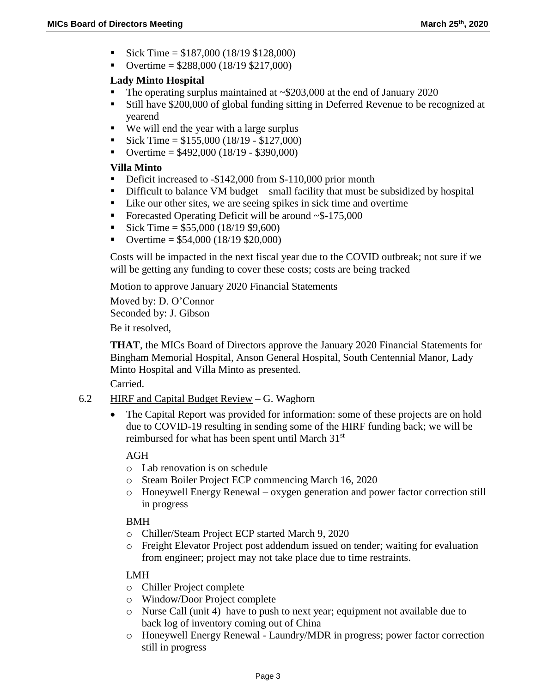- Sick Time = \$187,000 (18/19 \$128,000)
- Overtime =  $$288,000 (18/19 $217,000)$

## **Lady Minto Hospital**

- The operating surplus maintained at  $\sim$ \$203,000 at the end of January 2020
- Still have \$200,000 of global funding sitting in Deferred Revenue to be recognized at yearend
- We will end the year with a large surplus
- Sick Time =  $$155,000 (18/19 $127,000)$
- Overtime =  $$492,000 (18/19 $390,000)$

## **Villa Minto**

- Deficit increased to -\$142,000 from \$-110,000 prior month
- Difficult to balance VM budget small facility that must be subsidized by hospital
- Like our other sites, we are seeing spikes in sick time and overtime
- Forecasted Operating Deficit will be around  $\sim$ \$-175,000
- Sick Time =  $$55,000 (18/19 $9,600)$
- Overtime =  $$54,000 (18/19 $20,000)$

Costs will be impacted in the next fiscal year due to the COVID outbreak; not sure if we will be getting any funding to cover these costs; costs are being tracked

Motion to approve January 2020 Financial Statements

Moved by: D. O'Connor Seconded by: J. Gibson

Be it resolved,

**THAT**, the MICs Board of Directors approve the January 2020 Financial Statements for Bingham Memorial Hospital, Anson General Hospital, South Centennial Manor, Lady Minto Hospital and Villa Minto as presented.

Carried.

- 6.2 HIRF and Capital Budget Review  $-$  G. Waghorn
	- The Capital Report was provided for information: some of these projects are on hold due to COVID-19 resulting in sending some of the HIRF funding back; we will be reimbursed for what has been spent until March 31<sup>st</sup>

AGH

- o Lab renovation is on schedule
- o Steam Boiler Project ECP commencing March 16, 2020
- o Honeywell Energy Renewal oxygen generation and power factor correction still in progress

# BMH

- o Chiller/Steam Project ECP started March 9, 2020
- o Freight Elevator Project post addendum issued on tender; waiting for evaluation from engineer; project may not take place due to time restraints.

# LMH

- o Chiller Project complete
- o Window/Door Project complete
- o Nurse Call (unit 4) have to push to next year; equipment not available due to back log of inventory coming out of China
- o Honeywell Energy Renewal Laundry/MDR in progress; power factor correction still in progress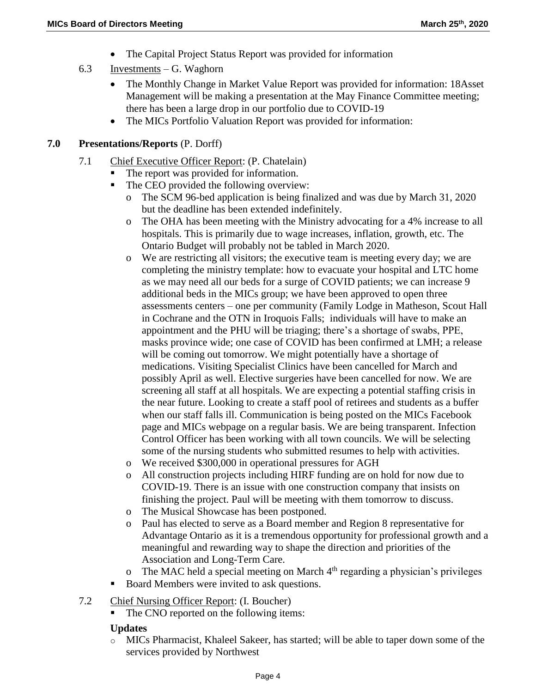- The Capital Project Status Report was provided for information
- 6.3 Investments G. Waghorn
	- The Monthly Change in Market Value Report was provided for information: 18Asset Management will be making a presentation at the May Finance Committee meeting; there has been a large drop in our portfolio due to COVID-19
	- The MICs Portfolio Valuation Report was provided for information:

## **7.0 Presentations/Reports** (P. Dorff)

- 7.1 Chief Executive Officer Report: (P. Chatelain)
	- The report was provided for information.
	- The CEO provided the following overview:
		- o The SCM 96-bed application is being finalized and was due by March 31, 2020 but the deadline has been extended indefinitely.
		- o The OHA has been meeting with the Ministry advocating for a 4% increase to all hospitals. This is primarily due to wage increases, inflation, growth, etc. The Ontario Budget will probably not be tabled in March 2020.
		- o We are restricting all visitors; the executive team is meeting every day; we are completing the ministry template: how to evacuate your hospital and LTC home as we may need all our beds for a surge of COVID patients; we can increase 9 additional beds in the MICs group; we have been approved to open three assessments centers – one per community (Family Lodge in Matheson, Scout Hall in Cochrane and the OTN in Iroquois Falls; individuals will have to make an appointment and the PHU will be triaging; there's a shortage of swabs, PPE, masks province wide; one case of COVID has been confirmed at LMH; a release will be coming out tomorrow. We might potentially have a shortage of medications. Visiting Specialist Clinics have been cancelled for March and possibly April as well. Elective surgeries have been cancelled for now. We are screening all staff at all hospitals. We are expecting a potential staffing crisis in the near future. Looking to create a staff pool of retirees and students as a buffer when our staff falls ill. Communication is being posted on the MICs Facebook page and MICs webpage on a regular basis. We are being transparent. Infection Control Officer has been working with all town councils. We will be selecting some of the nursing students who submitted resumes to help with activities.
		- o We received \$300,000 in operational pressures for AGH
		- o All construction projects including HIRF funding are on hold for now due to COVID-19. There is an issue with one construction company that insists on finishing the project. Paul will be meeting with them tomorrow to discuss.
		- o The Musical Showcase has been postponed.
		- o Paul has elected to serve as a Board member and Region 8 representative for Advantage Ontario as it is a tremendous opportunity for professional growth and a meaningful and rewarding way to shape the direction and priorities of the Association and Long-Term Care.
		- The MAC held a special meeting on March  $4<sup>th</sup>$  regarding a physician's privileges
	- Board Members were invited to ask questions.
- 7.2 Chief Nursing Officer Report: (I. Boucher)
	- The CNO reported on the following items:

## **Updates**

o MICs Pharmacist, Khaleel Sakeer, has started; will be able to taper down some of the services provided by Northwest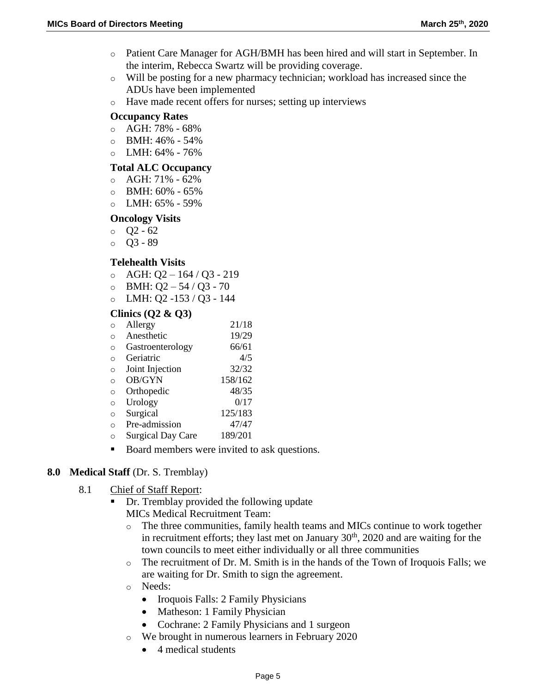- o Patient Care Manager for AGH/BMH has been hired and will start in September. In the interim, Rebecca Swartz will be providing coverage.
- o Will be posting for a new pharmacy technician; workload has increased since the ADUs have been implemented
- o Have made recent offers for nurses; setting up interviews

### **Occupancy Rates**

- o AGH: 78% 68%
- o BMH: 46% 54%
- $O$  LMH:  $64\%$   $76\%$

### **Total ALC Occupancy**

- $\circ$  AGH: 71% 62%
- $\circ$  BMH: 60% 65%
- $O$  LMH:  $65\%$  59%

### **Oncology Visits**

- o Q2 62
- $O$   $O$ 3 89

### **Telehealth Visits**

- $O$  AGH: Q2 164 / Q3 219
- $O$  BMH: Q2 54 / Q3 70
- o LMH: Q2 -153 / Q3 144

### **Clinics (Q2 & Q3)**

| ∩ | Allergy                  | 21/18   |
|---|--------------------------|---------|
| ∩ | Anesthetic               | 19/29   |
| ∩ | Gastroenterology         | 66/61   |
| ∩ | Geriatric                | 4/5     |
| ∩ | Joint Injection          | 32/32   |
| ∩ | OB/GYN                   | 158/162 |
| ∩ | Orthopedic               | 48/35   |
| ∩ | Urology                  | 0/17    |
| ∩ | Surgical                 | 125/183 |
| ∩ | Pre-admission            | 47/47   |
| ∩ | <b>Surgical Day Care</b> | 189/201 |

Board members were invited to ask questions.

### **8.0 Medical Staff** (Dr. S. Tremblay)

- 8.1 Chief of Staff Report:
	- Dr. Tremblay provided the following update MICs Medical Recruitment Team:
		- o The three communities, family health teams and MICs continue to work together in recruitment efforts; they last met on January  $30<sup>th</sup>$ ,  $2020$  and are waiting for the town councils to meet either individually or all three communities
		- o The recruitment of Dr. M. Smith is in the hands of the Town of Iroquois Falls; we are waiting for Dr. Smith to sign the agreement.
		- o Needs:
			- Iroquois Falls: 2 Family Physicians
			- Matheson: 1 Family Physician
			- Cochrane: 2 Family Physicians and 1 surgeon
		- o We brought in numerous learners in February 2020
			- 4 medical students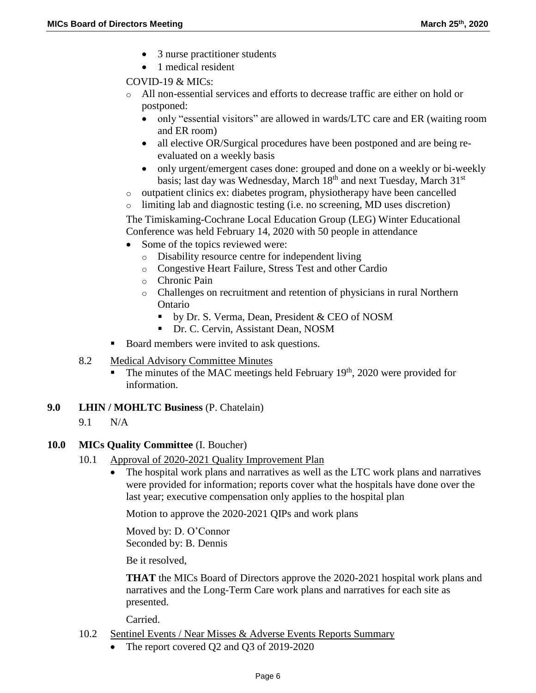- 3 nurse practitioner students
- 1 medical resident

COVID-19 & MICs:

- o All non-essential services and efforts to decrease traffic are either on hold or postponed:
	- only "essential visitors" are allowed in wards/LTC care and ER (waiting room and ER room)
	- all elective OR/Surgical procedures have been postponed and are being reevaluated on a weekly basis
	- only urgent/emergent cases done: grouped and done on a weekly or bi-weekly basis; last day was Wednesday, March 18<sup>th</sup> and next Tuesday, March 31<sup>st</sup>
- o outpatient clinics ex: diabetes program, physiotherapy have been cancelled
- o limiting lab and diagnostic testing (i.e. no screening, MD uses discretion)

The Timiskaming-Cochrane Local Education Group (LEG) Winter Educational Conference was held February 14, 2020 with 50 people in attendance

- Some of the topics reviewed were:
	- o Disability resource centre for independent living
	- o Congestive Heart Failure, Stress Test and other Cardio
	- o Chronic Pain
	- o Challenges on recruitment and retention of physicians in rural Northern Ontario
		- by Dr. S. Verma, Dean, President & CEO of NOSM
		- Dr. C. Cervin, Assistant Dean, NOSM
- Board members were invited to ask questions.
- 8.2 Medical Advisory Committee Minutes
	- The minutes of the MAC meetings held February  $19<sup>th</sup>$ , 2020 were provided for information.
- **9.0 LHIN / MOHLTC Business** (P. Chatelain)
	- 9.1 N/A

## **10.0 MICs Quality Committee** (I. Boucher)

- 10.1 Approval of 2020-2021 Quality Improvement Plan
	- The hospital work plans and narratives as well as the LTC work plans and narratives were provided for information; reports cover what the hospitals have done over the last year; executive compensation only applies to the hospital plan

Motion to approve the 2020-2021 QIPs and work plans

Moved by: D. O'Connor Seconded by: B. Dennis

Be it resolved,

**THAT** the MICs Board of Directors approve the 2020-2021 hospital work plans and narratives and the Long-Term Care work plans and narratives for each site as presented.

Carried.

- 10.2 Sentinel Events / Near Misses & Adverse Events Reports Summary
	- The report covered Q2 and Q3 of 2019-2020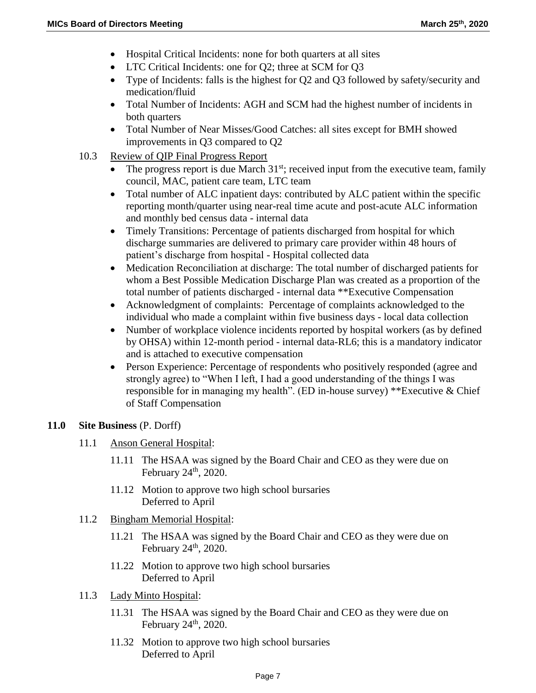- Hospital Critical Incidents: none for both quarters at all sites
- LTC Critical Incidents: one for Q2; three at SCM for Q3
- Type of Incidents: falls is the highest for Q2 and Q3 followed by safety/security and medication/fluid
- Total Number of Incidents: AGH and SCM had the highest number of incidents in both quarters
- Total Number of Near Misses/Good Catches: all sites except for BMH showed improvements in Q3 compared to Q2
- 10.3 Review of QIP Final Progress Report
	- $\bullet$  The progress report is due March 31<sup>st</sup>; received input from the executive team, family council, MAC, patient care team, LTC team
	- Total number of ALC inpatient days: contributed by ALC patient within the specific reporting month/quarter using near-real time acute and post-acute ALC information and monthly bed census data - internal data
	- Timely Transitions: Percentage of patients discharged from hospital for which discharge summaries are delivered to primary care provider within 48 hours of patient's discharge from hospital - Hospital collected data
	- Medication Reconciliation at discharge: The total number of discharged patients for whom a Best Possible Medication Discharge Plan was created as a proportion of the total number of patients discharged - internal data \*\*Executive Compensation
	- Acknowledgment of complaints: Percentage of complaints acknowledged to the individual who made a complaint within five business days - local data collection
	- Number of workplace violence incidents reported by hospital workers (as by defined by OHSA) within 12-month period - internal data-RL6; this is a mandatory indicator and is attached to executive compensation
	- Person Experience: Percentage of respondents who positively responded (agree and strongly agree) to "When I left, I had a good understanding of the things I was responsible for in managing my health". (ED in-house survey) \*\*Executive & Chief of Staff Compensation

### **11.0 Site Business** (P. Dorff)

- 11.1 Anson General Hospital:
	- 11.11 The HSAA was signed by the Board Chair and CEO as they were due on February  $24<sup>th</sup>$ ,  $2020$ .
	- 11.12 Motion to approve two high school bursaries Deferred to April
- 11.2 Bingham Memorial Hospital:
	- 11.21 The HSAA was signed by the Board Chair and CEO as they were due on February  $24<sup>th</sup>$ ,  $2020$ .
	- 11.22 Motion to approve two high school bursaries Deferred to April
- 11.3 Lady Minto Hospital:
	- 11.31 The HSAA was signed by the Board Chair and CEO as they were due on February  $24<sup>th</sup>$ , 2020.
	- 11.32 Motion to approve two high school bursaries Deferred to April